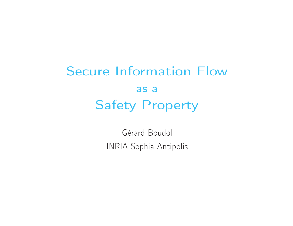## Secure Information Flowas <sup>a</sup>Safety Property

Gérard Boudol INRIA Sophia Antipolis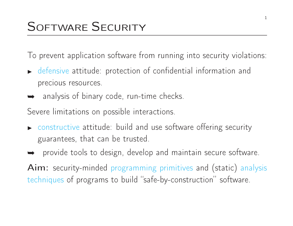To prevent application software from running into security violations:

- ◮ defensive attitude: protection of confidential information and precious resources.
- **→** analysis of binary code, run-time checks.

Severe limitations on possible interactions.

- $\blacktriangleright$  constructive attitude: build and use software offering security guarantees, that can be trusted.
- **►** provide tools to design, develop and maintain secure software.

 $Aim:$  security-minded programming primitives and (static) analysis techniques of programs to build "safe-by-construction" software.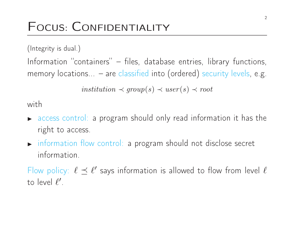### FOCUS: CONFIDENTIALITY

(Integrity is dual.)

Information "containers" – files, database entries, library functions, memory locations... – are classified into (ordered) security levels, e.g.

 $\mathit{institution} \prec \mathit{group}(s) \prec \mathit{user}(s) \prec \mathit{root}$ 

with

- ◮ access control: <sup>a</sup> program should only read information it has the right to access.
- ◮ information flow control: <sup>a</sup> program should not disclose secret information.

Flow policy:  $\ell \preceq \ell'$  says information is allowed to flow from level  $\ell$ to level <sup>ℓ</sup>′.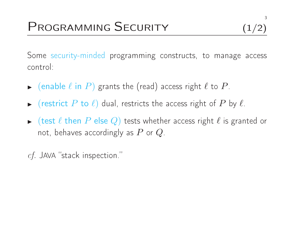Some security-minded programming constructs, to manage access control:

- $\blacktriangleright$  $\blacktriangleright$  (enable  $\ell$  in  $P)$  grants the (read) access right  $\ell$  to  $P$ .
- ◮ $\blacktriangleright$  (restrict  $P$  to  $\ell$ ) dual, restricts the access right of  $P$  by  $\ell$ .
- ◮ $\blacktriangleright$  (test  $\ell$  then  $P$  else  $Q$ ) tests whether access right  $\ell$  is granted or not, behaves accordingly as  $P$  or  $Q$ .

 $c$ f. JAVA "stack inspection."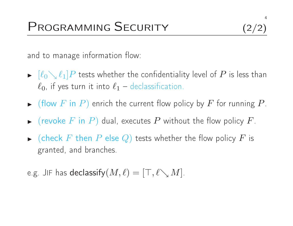and to manage information flow:

- ◮ $\blacktriangleright$   $[\ell_0 \searrow \ell_1]P$  tests whether the confidentiality level of P is less than  $\ell_0$ , if yes turn it into  $\ell_1$  – declassification.
- ◮ $\blacktriangleright$  (flow  $F$  in  $P)$  enrich the current flow policy by  $F$  for running  $P$ .
- ◮ $\blacktriangleright$  (revoke  $F$  in  $P)$  dual, executes  $P$  without the flow policy  $F$ .
- ◮ $\blacktriangleright$  (check  $F$  then  $P$  else  $Q$ ) tests whether the flow policy  $F$  is granted, and branches.

e.g. JIF has  $\mathsf{declassify}(M,\ell) = [\top,\ell\diagdown M].$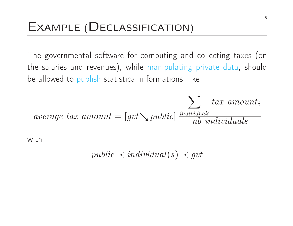The governmental software for computing and collecting taxes (onthe salaries and revenues), while manipulating private data, shouldbe allowed to publish statistical informations, like

 $\emph{average tax amount} = [gvt \searrow public]$  $\sum$  $\frac{individuals}{nb~individuals}$  $tax$   $amount_i$ 

with

$$
public \prec individual(s) \prec gvt
$$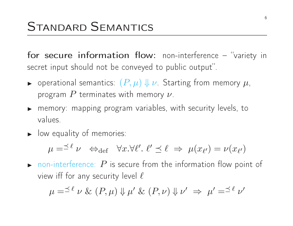for secure information flow: non-interference – "variety insecret input should not be conveyed to public output".

- ◮ $\blacktriangleright$  operational semantics:  $(P, \mu) \Downarrow \nu$  Starting from memory  $\mu$ , program  $P$  terminates with memory  $\nu$ .
- ◮ $\blacktriangleright$  memory: mapping program variables, with security levels, to values.
- $\blacktriangleright$ **I** low equality of memories:

$$
\mu = \preceq^{\ell} \nu \iff_{\text{def}} \forall x. \forall \ell'. \ell' \preceq \ell \implies \mu(x_{\ell'}) = \nu(x_{\ell'})
$$

 $\blacktriangleright$ • non-interference:  $P$  is secure from the information flow point of view iff for any security level  $\ell$ 

$$
\mu = \preceq^{\ell} \nu \& (P, \mu) \Downarrow \mu' \& (P, \nu) \Downarrow \nu' \Rightarrow \mu' = \preceq^{\ell} \nu'
$$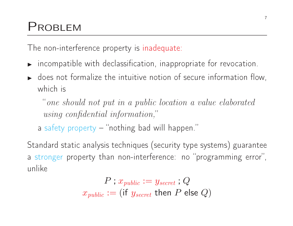### PROBLEM

The non-interference property is inadequate:

- $\blacktriangleright$  $\blacktriangleright$  incompatible with declassification, inappropriate for revocation.
- ◮ $\blacktriangleright$  does not formalize the intuitive notion of secure information flow, which is

"one should not put in <sup>a</sup> public location <sup>a</sup> value elaboratedusing confidential information,"

a safety property – "nothing bad will happen."

Standard static analysis techniques (security type systems) guaranteea stronger property than non-interference: no "programming error", unlike

$$
P \mathrel{;} x_{public} \mathrel{:=} y_{secret} \mathrel{;} Q \\ x_{public} \mathrel{:=} (\mathsf{if} \ y_{secret} \ \mathsf{then} \ \, P \ \mathsf{else} \ \, Q)
$$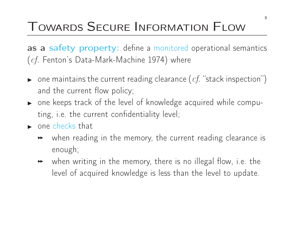# TOWARDS <sup>S</sup>ECURE <sup>I</sup>NFORMATION <sup>F</sup>LOW

as a safety property: define a monitored operational semantics  $(\emph{cf.}$  Fenton's Data-Mark-Machine 1974) where

- ◮ $\blacktriangleright$  one maintains the current reading clearance  $(cf.$  "stack inspection") and the current flow policy;
- ◮ $\blacktriangleright$  one keeps track of the level of knowledge acquired while computing, i.e. the current confidentiality level;
- $\blacktriangleright$  $\blacktriangleright$  one checks that
	- $\blacktriangleright$  when reading in the memory, the current reading clearance isenough;
	- $\quad \rightarrow \quad$  when writing in the memory, there is no illegal flow, i.e. the level of acquired knowledge is less than the level to update.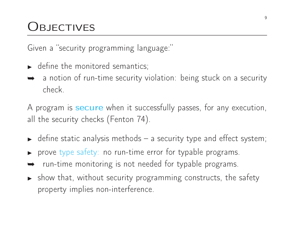### **OBJECTIVES**

Given <sup>a</sup> "security programming language:"

- ◮ $\blacktriangleright$  define the monitored semantics;
- **→** a notion of run-time security violation: being stuck on a security<br>chock check.

A program is  ${\bf securve}$  when it successfully passes, for any execution, all the security checks (Fenton 74).

- ◮ $\blacktriangleright$  define static analysis methods  $-$  a security type and effect system;
- ◮ $\blacktriangleright$  prove type safety: no run-time error for typable programs.
- ➥run-time monitoring is not needed for typable programs.
- ◮ $\blacktriangleright$  show that, without security programming constructs, the safety property implies non-interference.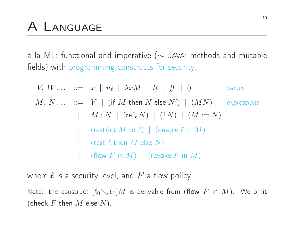<sup>à</sup> la ML: functional and imperative (<sup>∼</sup> <sup>J</sup>AVA: methods and mutable fields) with programming constructs for security:

| $V, W \ldots ::= x \mid u_{\ell} \mid \lambda x M \mid tt \mid ff \mid 0$             | values      |
|---------------------------------------------------------------------------------------|-------------|
| $M, N \ldots ::= V \mid (\text{if } M \text{ then } N \text{ else } N') \mid (MN)$    | expressions |
| $\mid M; N \mid (\text{ref}_{\ell} N) \mid (!N) \mid (M := N)$                        |             |
| $\mid (\text{restrict } M \text{ to } \ell) \mid (\text{enable } \ell \text{ in } M)$ |             |
| $\mid (\text{test } \ell \text{ then } M \text{ else } N)$                            |             |
| $\mid (\text{flow } F \text{ in } M) \mid (\text{revole } F \text{ in } M)$           |             |

where  $\ell$  is a security level, and  $F$  a flow policy.

Note: the construct  $[\ell_0\searrow\ell_1]M$  is derivable from (flow  $F$  in  $M)$ . We omit (check  $F$  then  $M$  else  $N$ ).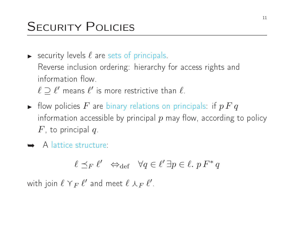# SECURITY POLICIES

- ◮ $\blacktriangleright$  security levels  $\ell$  are sets of principals. Reverse inclusion ordering: hierarchy for access rights andinformation flow.
- $\ell \supseteq \ell'$  means  $\ell'$  is more restrictive than  $\ell$ . ◮ $\blacktriangleright$  flow policies  $F$  are binary relations on principals: if  $p\,F\,q$ information accessible by principal  $p$  may flow, according to policy  $F$ , to principal  $q$ .
- ➥ <sup>A</sup> lattice structure:

$$
\ell \preceq_F \ell' \iff \text{def} \quad \forall q \in \ell' \,\exists p \in \ell. \,\, p \, F^* \, q
$$

with join  $\ell\curlyvee_{F}\ell'$  and meet  $\ell\curlywedge_{F}\ell'$ .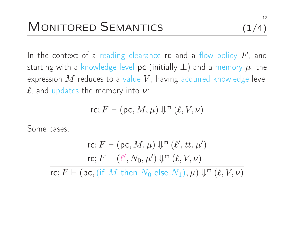In the context of a reading clearance  $\sf rc$  and a flow policy  $F$ , and starting with a knowledge level  $\mathsf{pc}\ (\mathsf{initially}\ \bot)$  and a memory  $\mu$ , the expression  $M$  reduces to a value  $V$ , having acquired knowledge level<br> $\ell$  and undates the memory into  $\nu$ :  $\ell$ , and updates the memory into  $\nu$ :

$$
\mathsf{rc}; F \vdash (\mathsf{pc}, M, \mu) \Downarrow^{\mathsf{m}} (\ell, V, \nu)
$$

Some cases:

rc; 
$$
F \vdash (pc, M, \mu) \Downarrow^{m} (\ell', tt, \mu')
$$
  
rc;  $F \vdash (\ell', N_0, \mu') \Downarrow^{m} (\ell, V, \nu)$   
rc;  $F \vdash (pc, (if M then N_0 else N_1), \mu) \Downarrow^{m} (\ell, V, \nu)$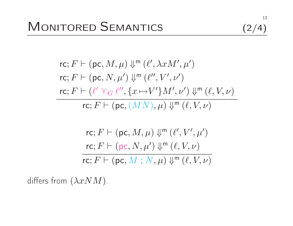$$
(2/4)
$$

$$
\text{rc}; F \vdash (\text{pc}, M, \mu) \Downarrow^{\mathsf{m}} (\ell', \lambda x M', \mu')
$$
\n
$$
\text{rc}; F \vdash (\text{pc}, N, \mu') \Downarrow^{\mathsf{m}} (\ell'', V', \nu')
$$
\n
$$
\text{rc}; F \vdash (\ell' \curlyvee_{G} \ell'', \{x \mapsto V'\} M', \nu') \Downarrow^{\mathsf{m}} (\ell, V, \nu)
$$
\n
$$
\text{rc}; F \vdash (\text{pc}, (MN), \mu) \Downarrow^{\mathsf{m}} (\ell, V, \nu)
$$

$$
\mathsf{rc}; F \vdash (\mathsf{pc}, M, \mu) \Downarrow^{\mathsf{m}} (\ell', V', \mu')
$$
\n
$$
\frac{\mathsf{rc}; F \vdash (\mathsf{pc}, N, \mu') \Downarrow^{\mathsf{m}} (\ell, V, \nu)}{\mathsf{rc}; F \vdash (\mathsf{pc}, M ; N, \mu) \Downarrow^{\mathsf{m}} (\ell, V, \nu)}
$$

differs from  $(\lambda x NM)$ .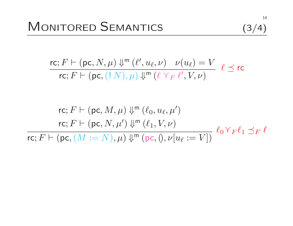$$
(3/4)
$$

 $\mathsf{rc}; F \vdash (\mathsf{pc}, N, \mu) \Downarrow^{\mathsf{m}} (\ell', u_\ell, \nu) \quad \nu(u_\ell) = V$  $\mathsf{rc}; F \vdash (\mathsf{pc}, (\mathop{!} N), \mu) \Downarrow^{\mathsf{m}} (\ell \curlyvee_{F} \ell', V, \nu)$  $\ell \preceq$  rc

$$
\text{rc}; F \vdash (\text{pc}, M, \mu) \Downarrow^{\text{m}} (\ell_0, u_\ell, \mu')
$$
\n
$$
\text{rc}; F \vdash (\text{pc}, N, \mu') \Downarrow^{\text{m}} (\ell_1, V, \nu)
$$
\n
$$
\text{rc}; F \vdash (\text{pc}, (M := N), \mu) \Downarrow^{\text{m}} (\text{pc}, 0, \nu[u_\ell := V]) \quad \ell_0 \Upsilon_F \ell_1 \preceq_F \ell
$$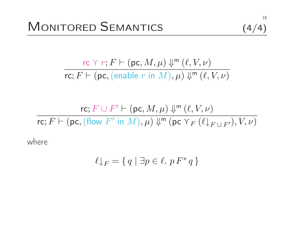$$
(4/4)
$$

 ${\sf rc} \curlyvee r; F \vdash ({\sf pc}, M, \mu) \Downarrow^{\sf m} (\ell, V, \nu)$  $\mathsf{rc}; F \vdash (\mathsf{pc},(\mathsf{enable}\; r\; \mathsf{in}\; M),\mu) \Downarrow^{\mathsf{m}} (\ell,V,\nu)$ 

$$
\mathsf{rc}; F \cup F' \vdash (\mathsf{pc}, M, \mu) \Downarrow^{\mathsf{m}} (\ell, V, \nu)
$$
  

$$
\mathsf{rc}; F \vdash (\mathsf{pc}, (\mathsf{flow}\ F'\ \mathsf{in}\ M), \mu) \Downarrow^{\mathsf{m}} (\mathsf{pc}\ \mathsf{Y}_F\ (\ell \downarrow_{F \cup F'}), V, \nu)
$$

where

$$
\ell \downarrow_F = \{ q \mid \exists p \in \ell.\ p \, F^* \, q \}
$$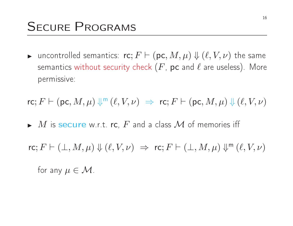◮ $\blacktriangleright$  uncontrolled semantics:  $\mathsf{rc}; F \vdash (\mathsf{pc}, M, \mu) \Downarrow (\ell, V, \nu)$  the same semantics without security check  $(F,$   ${\sf pc}$  and  $\ell$  are useless). More permissive:

$$
\mathsf{rc}; F \vdash (\mathsf{pc}, M, \mu) \Downarrow^{\mathsf{m}} (\ell, V, \nu) \implies \mathsf{rc}; F \vdash (\mathsf{pc}, M, \mu) \Downarrow (\ell, V, \nu)
$$

 $\blacktriangleright$   $M$  is secure w.r.t. rc,  $F$  and a class  $\mathcal M$  of memories iff

 $\mathsf{rc}; F \vdash (\bot, M, \mu) \Downarrow (\ell, V, \nu) \Rightarrow \mathsf{rc}; F \vdash (\bot, M, \mu) \Downarrow^{\mathsf{m}} (\ell, V, \nu)$ for any  $\mu \in \mathcal{M}$ .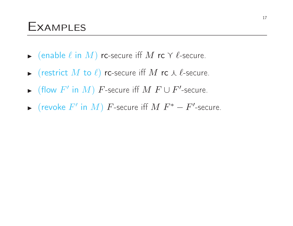#### **EXAMPLES**

- ◮ $\blacktriangleright$  (enable  $\ell$  in  $M$ ) rc-secure iff  $M$  rc  $\gamma$   $\ell$ -secure.
- ◮ $\blacktriangleright$  (restrict  $M$  to  $\ell$ ) rc-secure iff  $M$  rc  $\curlywedge \ell$ -secure.
- ◮► (flow  $F'$  in  $M$ )  $F$ -secure iff  $M$   $F \cup F'$ -secure.
- ◮► (revoke  $F'$  in  $M$ )  $F$ -secure iff  $M$   $F^* - F'$ -secure.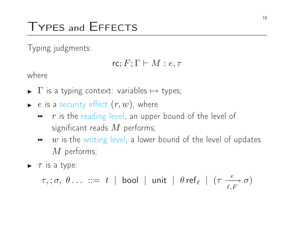## TYPES and <sup>E</sup>FFECTS

Typing judgments:

$$
\mathsf{rc}; F; \Gamma \vdash M : e, \tau
$$

where

- ►  $\Gamma$  is a typing context: variables  $\mapsto$  types;
- ◮ $\blacktriangleright\;$   $e$  is a security effect  $(r, w)$ , where
	- $\quad$   $\quad$   $\quad$   $\quad$   $\quad$  is the reading level, an upper bound of the level of significant reads  $M$  performs;<br> $\ddot{\textbf{u}}$  is the writing level a lewer
	- $\quad \rightarrow \quad w$  is the writing level, a lower bound of the level of updates  $M$  performs;
- $\blacktriangleright$   $\tau$  is a type:

$$
\tau, \, ; \, \sigma, \, \theta \, \ldots \, := \, t \, \mid \text{bool} \, \mid \text{unit} \, \mid \theta \text{ ref}_{\ell} \, \mid \, (\tau \xrightarrow{\, e \, \, } \sigma)
$$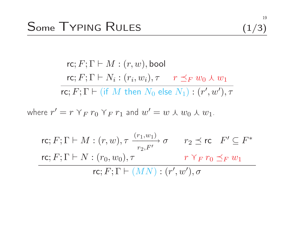$$
(1/3)
$$

$$
\mathsf{rc}; F; \Gamma \vdash M : (r, w), \mathsf{bool}
$$
\n
$$
\mathsf{rc}; F; \Gamma \vdash N_i : (r_i, w_i), \tau \quad r \preceq_F w_0 \land w_1
$$
\n
$$
\overline{\mathsf{rc}}; F; \Gamma \vdash (\text{if } M \text{ then } N_0 \text{ else } N_1) : (r', w'), \tau
$$
\n
$$
\text{where } r' = r \lor_F r_0 \lor_F r_1 \text{ and } w' = w \land w_0 \land w_1.
$$
\n
$$
\mathsf{rc}; F; \Gamma \vdash M : (r, w), \tau \xrightarrow[r_2, F']} \sigma \quad r_2 \preceq \mathsf{rc} \quad F' \subseteq F^*
$$
\n
$$
\mathsf{rc}; F; \Gamma \vdash N : (r_0, w_0), \tau \quad r \lor_F r_0 \preceq_F w_1
$$
\n
$$
\mathsf{rc}; F; \Gamma \vdash (MN) : (r', w'), \sigma
$$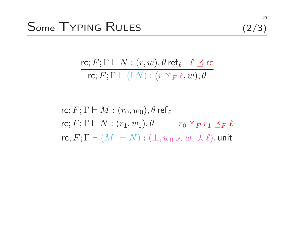$$
(2/3)
$$

$$
\frac{\mathsf{rc}; F; \Gamma \vdash N : (r, w), \theta \mathsf{ref}_{\ell} \quad \ell \preceq \mathsf{rc}}{\mathsf{rc}; F; \Gamma \vdash (\mathsf{!} \ N) : (r \ \gamma_F \ \ell, w), \theta}
$$

rc; 
$$
F
$$
;  $\Gamma \vdash M : (r_0, w_0), \theta$  ref<sub>l</sub>  
rc;  $F$ ;  $\Gamma \vdash N : (r_1, w_1), \theta$   $r_0 \curlyvee_{F} r_1 \preceq_{F} l$   
rc;  $F$ ;  $\Gamma \vdash (M := N) : (\bot, w_0 \curlywedge w_1 \curlywedge l),$  unit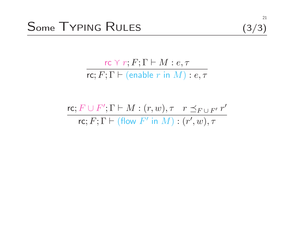21

 $\frac{r}{r}$   $r$ ;  $F$ ;  $\Gamma \vdash M : e, \tau$  $\mathsf{rc}; F; \Gamma \vdash (\mathsf{enable}~r~\mathsf{in}~M) : e, \tau$ 

$$
\frac{\text{rc}; F \cup F'; \Gamma \vdash M : (r, w), \tau \quad r \preceq_{F \cup F'} r'}{\text{rc}; F; \Gamma \vdash (\text{flow } F' \text{ in } M) : (r', w), \tau}
$$